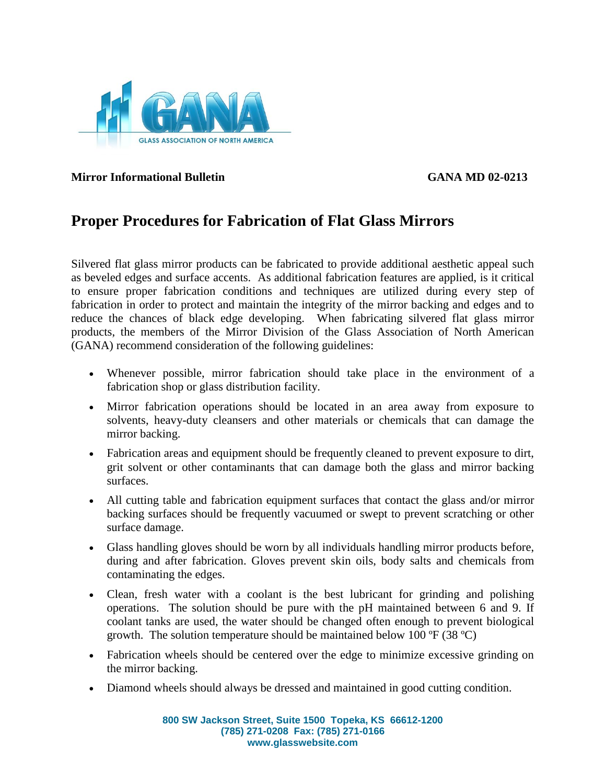

**Mirror Informational Bulletin GANA MD 02-0213**

## **Proper Procedures for Fabrication of Flat Glass Mirrors**

Silvered flat glass mirror products can be fabricated to provide additional aesthetic appeal such as beveled edges and surface accents. As additional fabrication features are applied, is it critical to ensure proper fabrication conditions and techniques are utilized during every step of fabrication in order to protect and maintain the integrity of the mirror backing and edges and to reduce the chances of black edge developing. When fabricating silvered flat glass mirror products, the members of the Mirror Division of the Glass Association of North American (GANA) recommend consideration of the following guidelines:

- Whenever possible, mirror fabrication should take place in the environment of a fabrication shop or glass distribution facility.
- Mirror fabrication operations should be located in an area away from exposure to solvents, heavy-duty cleansers and other materials or chemicals that can damage the mirror backing.
- Fabrication areas and equipment should be frequently cleaned to prevent exposure to dirt, grit solvent or other contaminants that can damage both the glass and mirror backing surfaces.
- All cutting table and fabrication equipment surfaces that contact the glass and/or mirror backing surfaces should be frequently vacuumed or swept to prevent scratching or other surface damage.
- Glass handling gloves should be worn by all individuals handling mirror products before, during and after fabrication. Gloves prevent skin oils, body salts and chemicals from contaminating the edges.
- Clean, fresh water with a coolant is the best lubricant for grinding and polishing operations. The solution should be pure with the pH maintained between 6 and 9. If coolant tanks are used, the water should be changed often enough to prevent biological growth. The solution temperature should be maintained below 100  $\textdegree$ F (38  $\textdegree$ C)
- Fabrication wheels should be centered over the edge to minimize excessive grinding on the mirror backing.
- Diamond wheels should always be dressed and maintained in good cutting condition.

**800 SW Jackson Street, Suite 1500 Topeka, KS 66612-1200 (785) 271-0208 Fax: (785) 271-0166 www.glasswebsite.com**